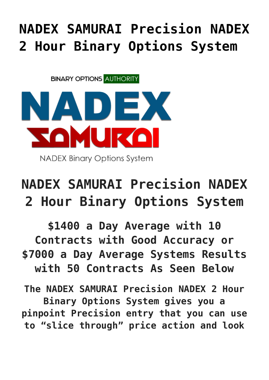## **[NADEX SAMURAI Precision NADEX](https://binaryoptionsauthority.com/nadex-samurai-precision-nadex-2-hour-binary-options-system/) [2 Hour Binary Options System](https://binaryoptionsauthority.com/nadex-samurai-precision-nadex-2-hour-binary-options-system/)**

**BINARY OPTIONS AUTHORITY** 



**NADEX Binary Options System** 

## **NADEX SAMURAI Precision NADEX 2 Hour Binary Options System**

**\$1400 a Day Average with 10 Contracts with Good Accuracy or \$7000 a Day Average Systems Results with 50 Contracts As Seen Below**

**The NADEX SAMURAI Precision NADEX 2 Hour Binary Options System gives you a pinpoint Precision entry that you can use to "slice through" price action and look**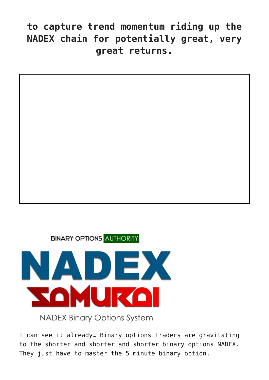## **to capture trend momentum riding up the NADEX chain for potentially great, very great returns.**



**BINARY OPTIONS AUTHORITY** 



**NADEX Binary Options System** 

I can see it already… Binary options Traders are gravitating to the shorter and shorter and shorter binary options NADEX. They just have to master the 5 minute binary option.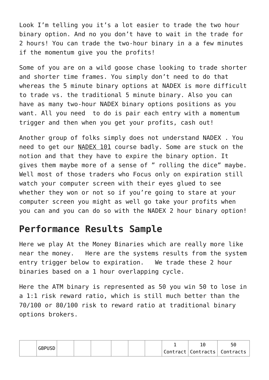Look I'm telling you it's a lot easier to trade the two hour binary option. And no you don't have to wait in the trade for 2 hours! You can trade the two-hour binary in a a few minutes if the momentum give you the profits!

Some of you are on a wild goose chase looking to trade shorter and shorter time frames. You simply don't need to do that whereas the 5 minute binary options at NADEX is more difficult to trade vs. the traditional 5 minute binary. Also you can have as many two-hour NADEX binary options positions as you want. All you need to do is pair each entry with a momentum trigger and then when you get your profits, cash out!

Another group of folks simply does not understand NADEX . You need to get our [NADEX 101](https://binaryoptionsauthority.com/binary-options-authority/binary-option-courses/learn-nadex/nadex-101/) course badly. Some are stuck on the notion and that they have to expire the binary option. It gives them maybe more of a sense of " rolling the dice" maybe. Well most of those traders who Focus only on expiration still watch your computer screen with their eyes glued to see whether they won or not so if you're going to stare at your computer screen you might as well go take your profits when you can and you can do so with the NADEX 2 hour binary option!

## **Performance Results Sample**

Here we play At the Money Binaries which are really more like near the money. Here are the systems results from the system entry trigger below to expiration. We trade these 2 hour binaries based on a 1 hour overlapping cycle.

Here the ATM binary is represented as 50 you win 50 to lose in a 1:1 risk reward ratio, which is still much better than the 70/100 or 80/100 risk to reward ratio at traditional binary options brokers.

|  | <b>GBPUSD</b> |  |  |  |  | つじ                               |
|--|---------------|--|--|--|--|----------------------------------|
|  |               |  |  |  |  | Contract   Contracts   Contracts |